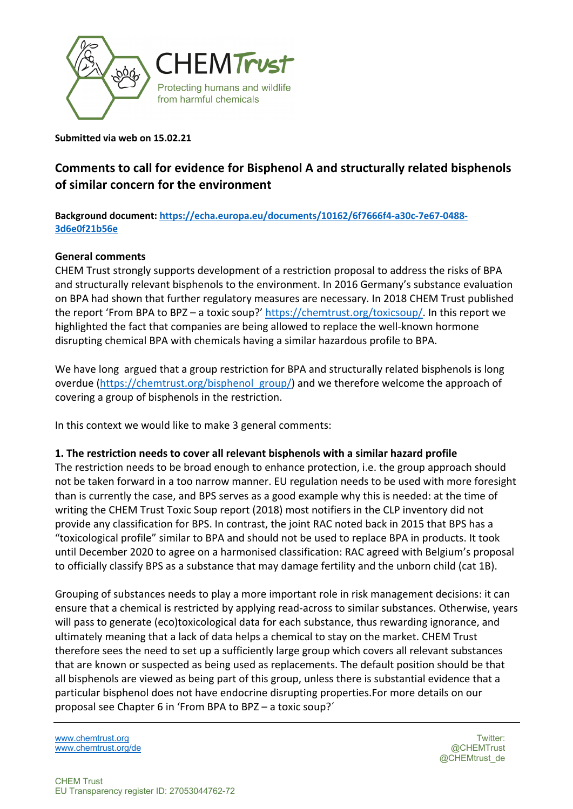

**Submitted via web on 15.02.21**

# **Comments to call for evidence for Bisphenol A and structurally related bisphenols of similar concern for the environment**

**Background document: https://echa.europa.eu/documents/10162/6f7666f4-a30c-7e67-0488- 3d6e0f21b56e**

#### **General comments**

CHEM Trust strongly supports development of a restriction proposal to address the risks of BPA and structurally relevant bisphenols to the environment. In 2016 Germany's substance evaluation on BPA had shown that further regulatory measures are necessary. In 2018 CHEM Trust published the report 'From BPA to BPZ – a toxic soup?' https://chemtrust.org/toxicsoup/. In this report we highlighted the fact that companies are being allowed to replace the well-known hormone disrupting chemical BPA with chemicals having a similar hazardous profile to BPA.

We have long argued that a group restriction for BPA and structurally related bisphenols is long overdue (https://chemtrust.org/bisphenol\_group/) and we therefore welcome the approach of covering a group of bisphenols in the restriction.

In this context we would like to make 3 general comments:

#### **1. The restriction needs to cover all relevant bisphenols with a similar hazard profile**

The restriction needs to be broad enough to enhance protection, i.e. the group approach should not be taken forward in a too narrow manner. EU regulation needs to be used with more foresight than is currently the case, and BPS serves as a good example why this is needed: at the time of writing the CHEM Trust Toxic Soup report (2018) most notifiers in the CLP inventory did not provide any classification for BPS. In contrast, the joint RAC noted back in 2015 that BPS has a "toxicological profile" similar to BPA and should not be used to replace BPA in products. It took until December 2020 to agree on a harmonised classification: RAC agreed with Belgium's proposal to officially classify BPS as a substance that may damage fertility and the unborn child (cat 1B).

Grouping of substances needs to play a more important role in risk management decisions: it can ensure that a chemical is restricted by applying read-across to similar substances. Otherwise, years will pass to generate (eco)toxicological data for each substance, thus rewarding ignorance, and ultimately meaning that a lack of data helps a chemical to stay on the market. CHEM Trust therefore sees the need to set up a sufficiently large group which covers all relevant substances that are known or suspected as being used as replacements. The default position should be that all bisphenols are viewed as being part of this group, unless there is substantial evidence that a particular bisphenol does not have endocrine disrupting properties.For more details on our proposal see Chapter 6 in 'From BPA to BPZ – a toxic soup?´

www.chemtrust.org Twitter: www.chemtrust.org Twitter: Consequence of the consequence of the consequence of the<br>Twitter: Twitter: Twitter: Consequence of the consequence of the consequence of the consequence of the conseque www.chemtrust.org/de

@CHEMtrust\_de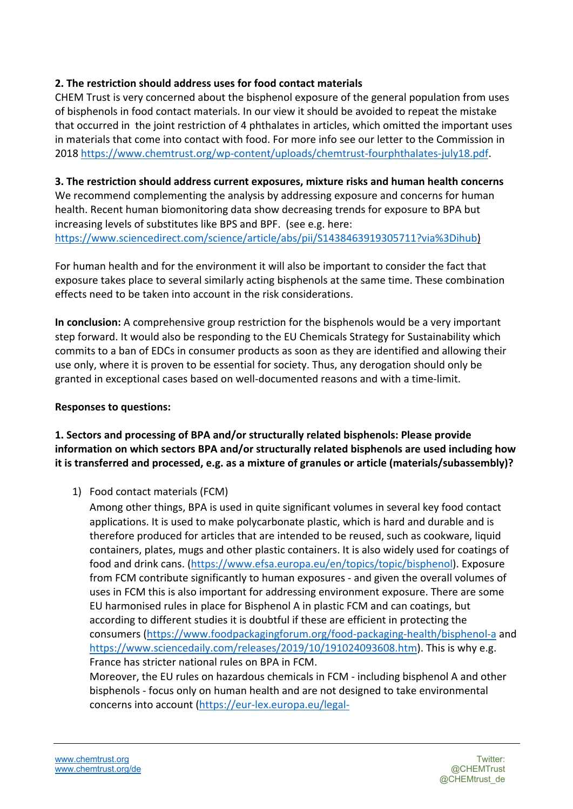# **2. The restriction should address uses for food contact materials**

CHEM Trust is very concerned about the bisphenol exposure of the general population from uses of bisphenols in food contact materials. In our view it should be avoided to repeat the mistake that occurred in the joint restriction of 4 phthalates in articles, which omitted the important uses in materials that come into contact with food. For more info see our letter to the Commission in 2018 https://www.chemtrust.org/wp-content/uploads/chemtrust-fourphthalates-july18.pdf.

### **3. The restriction should address current exposures, mixture risks and human health concerns**

We recommend complementing the analysis by addressing exposure and concerns for human health. Recent human biomonitoring data show decreasing trends for exposure to BPA but increasing levels of substitutes like BPS and BPF. (see e.g. here: https://www.sciencedirect.com/science/article/abs/pii/S1438463919305711?via%3Dihub)

For human health and for the environment it will also be important to consider the fact that exposure takes place to several similarly acting bisphenols at the same time. These combination effects need to be taken into account in the risk considerations.

**In conclusion:** A comprehensive group restriction for the bisphenols would be a very important step forward. It would also be responding to the EU Chemicals Strategy for Sustainability which commits to a ban of EDCs in consumer products as soon as they are identified and allowing their use only, where it is proven to be essential for society. Thus, any derogation should only be granted in exceptional cases based on well-documented reasons and with a time-limit.

### **Responses to questions:**

**1. Sectors and processing of BPA and/or structurally related bisphenols: Please provide information on which sectors BPA and/or structurally related bisphenols are used including how it is transferred and processed, e.g. as a mixture of granules or article (materials/subassembly)?**

1) Food contact materials (FCM)

Among other things, BPA is used in quite significant volumes in several key food contact applications. It is used to make polycarbonate plastic, which is hard and durable and is therefore produced for articles that are intended to be reused, such as cookware, liquid containers, plates, mugs and other plastic containers. It is also widely used for coatings of food and drink cans. (https://www.efsa.europa.eu/en/topics/topic/bisphenol). Exposure from FCM contribute significantly to human exposures - and given the overall volumes of uses in FCM this is also important for addressing environment exposure. There are some EU harmonised rules in place for Bisphenol A in plastic FCM and can coatings, but according to different studies it is doubtful if these are efficient in protecting the consumers (https://www.foodpackagingforum.org/food-packaging-health/bisphenol-a and https://www.sciencedaily.com/releases/2019/10/191024093608.htm). This is why e.g. France has stricter national rules on BPA in FCM.

Moreover, the EU rules on hazardous chemicals in FCM - including bisphenol A and other bisphenols - focus only on human health and are not designed to take environmental concerns into account (https://eur-lex.europa.eu/legal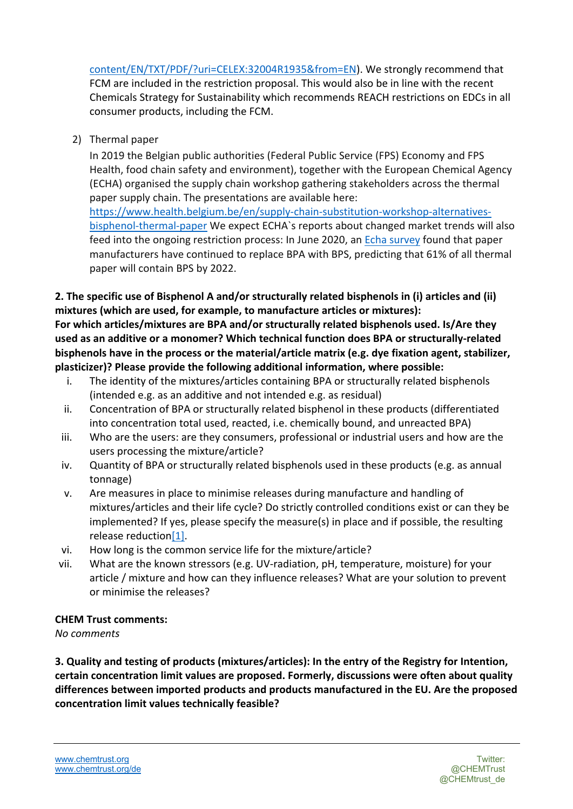content/EN/TXT/PDF/?uri=CELEX:32004R1935&from=EN). We strongly recommend that FCM are included in the restriction proposal. This would also be in line with the recent Chemicals Strategy for Sustainability which recommends REACH restrictions on EDCs in all consumer products, including the FCM.

2) Thermal paper

In 2019 the Belgian public authorities (Federal Public Service (FPS) Economy and FPS Health, food chain safety and environment), together with the European Chemical Agency (ECHA) organised the supply chain workshop gathering stakeholders across the thermal paper supply chain. The presentations are available here: https://www.health.belgium.be/en/supply-chain-substitution-workshop-alternativesbisphenol-thermal-paper We expect ECHA`s reports about changed market trends will also

feed into the ongoing restriction process: In June 2020, an Echa survey found that paper manufacturers have continued to replace BPA with BPS, predicting that 61% of all thermal paper will contain BPS by 2022.

**2. The specific use of Bisphenol A and/or structurally related bisphenols in (i) articles and (ii) mixtures (which are used, for example, to manufacture articles or mixtures):**

**For which articles/mixtures are BPA and/or structurally related bisphenols used. Is/Are they used as an additive or a monomer? Which technical function does BPA or structurally-related bisphenols have in the process or the material/article matrix (e.g. dye fixation agent, stabilizer, plasticizer)? Please provide the following additional information, where possible:**

- i. The identity of the mixtures/articles containing BPA or structurally related bisphenols (intended e.g. as an additive and not intended e.g. as residual)
- ii. Concentration of BPA or structurally related bisphenol in these products (differentiated into concentration total used, reacted, i.e. chemically bound, and unreacted BPA)
- iii. Who are the users: are they consumers, professional or industrial users and how are the users processing the mixture/article?
- iv. Quantity of BPA or structurally related bisphenols used in these products (e.g. as annual tonnage)
- v. Are measures in place to minimise releases during manufacture and handling of mixtures/articles and their life cycle? Do strictly controlled conditions exist or can they be implemented? If yes, please specify the measure(s) in place and if possible, the resulting release reduction[1].
- vi. How long is the common service life for the mixture/article?
- vii. What are the known stressors (e.g. UV-radiation, pH, temperature, moisture) for your article / mixture and how can they influence releases? What are your solution to prevent or minimise the releases?

# **CHEM Trust comments:**

*No comments*

**3. Quality and testing of products (mixtures/articles): In the entry of the Registry for Intention, certain concentration limit values are proposed. Formerly, discussions were often about quality differences between imported products and products manufactured in the EU. Are the proposed concentration limit values technically feasible?**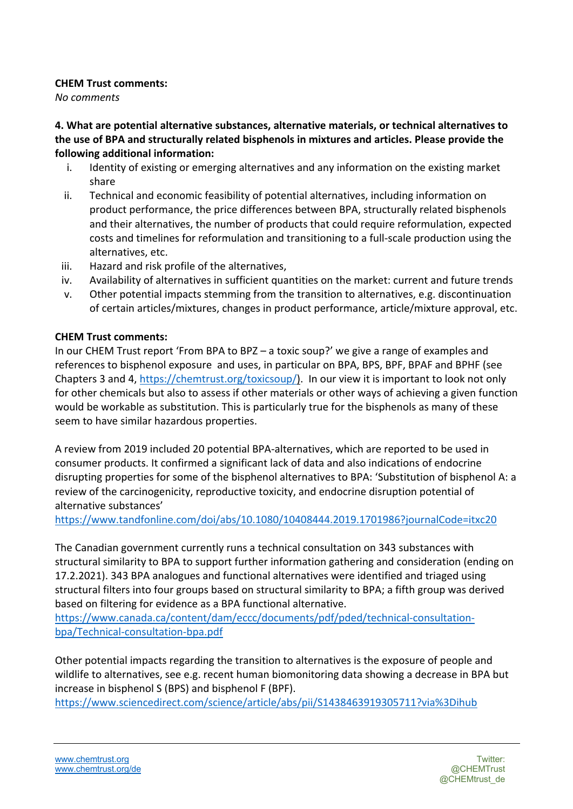### **CHEM Trust comments:**

*No comments*

**4. What are potential alternative substances, alternative materials, or technical alternatives to the use of BPA and structurally related bisphenols in mixtures and articles. Please provide the following additional information:**

- i. Identity of existing or emerging alternatives and any information on the existing market share
- ii. Technical and economic feasibility of potential alternatives, including information on product performance, the price differences between BPA, structurally related bisphenols and their alternatives, the number of products that could require reformulation, expected costs and timelines for reformulation and transitioning to a full-scale production using the alternatives, etc.
- iii. Hazard and risk profile of the alternatives,
- iv. Availability of alternatives in sufficient quantities on the market: current and future trends
- v. Other potential impacts stemming from the transition to alternatives, e.g. discontinuation of certain articles/mixtures, changes in product performance, article/mixture approval, etc.

#### **CHEM Trust comments:**

In our CHEM Trust report 'From BPA to BPZ – a toxic soup?' we give a range of examples and references to bisphenol exposure and uses, in particular on BPA, BPS, BPF, BPAF and BPHF (see Chapters 3 and 4, https://chemtrust.org/toxicsoup/). In our view it is important to look not only for other chemicals but also to assess if other materials or other ways of achieving a given function would be workable as substitution. This is particularly true for the bisphenols as many of these seem to have similar hazardous properties.

A review from 2019 included 20 potential BPA-alternatives, which are reported to be used in consumer products. It confirmed a significant lack of data and also indications of endocrine disrupting properties for some of the bisphenol alternatives to BPA: 'Substitution of bisphenol A: a review of the carcinogenicity, reproductive toxicity, and endocrine disruption potential of alternative substances'

https://www.tandfonline.com/doi/abs/10.1080/10408444.2019.1701986?journalCode=itxc20

The Canadian government currently runs a technical consultation on 343 substances with structural similarity to BPA to support further information gathering and consideration (ending on 17.2.2021). 343 BPA analogues and functional alternatives were identified and triaged using structural filters into four groups based on structural similarity to BPA; a fifth group was derived based on filtering for evidence as a BPA functional alternative.

https://www.canada.ca/content/dam/eccc/documents/pdf/pded/technical-consultationbpa/Technical-consultation-bpa.pdf

Other potential impacts regarding the transition to alternatives is the exposure of people and wildlife to alternatives, see e.g. recent human biomonitoring data showing a decrease in BPA but increase in bisphenol S (BPS) and bisphenol F (BPF).

https://www.sciencedirect.com/science/article/abs/pii/S1438463919305711?via%3Dihub